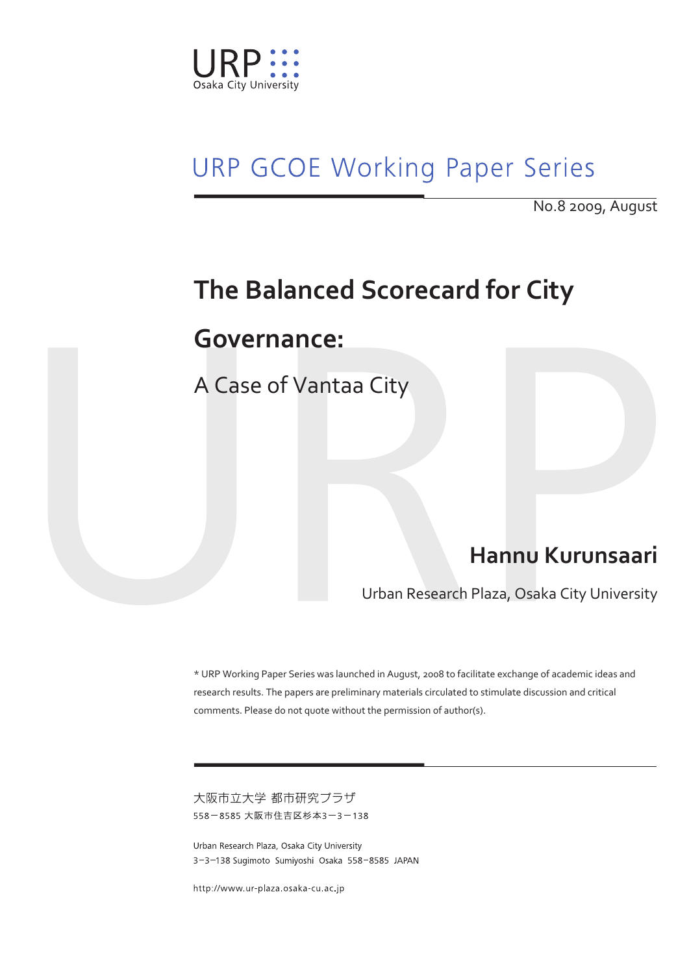

# **URP GCOE Working Paper Series**

No.8 2009, August

## **The Balanced Scorecard for City**

### **Governance:**

A Case of Vantaa City

## **Hannu Kurunsaari**

Urban Research Plaza, Osaka City University

\* URP Working Paper Series was launched in August, 2008 to facilitate exchange of academic ideas and research results. The papers are preliminary materials circulated to stimulate discussion and critical comments. Please do not quote without the permission of author(s).

大阪市立大学 都市研究プラザ 558-8585 大阪市住吉区杉本3-3-138

Urban Research Plaza, Osaka City University 3-3-138 Sugimoto Sumiyoshi Osaka 558-8585 JAPAN

http://www.ur-plaza.osaka-cu ac.jp